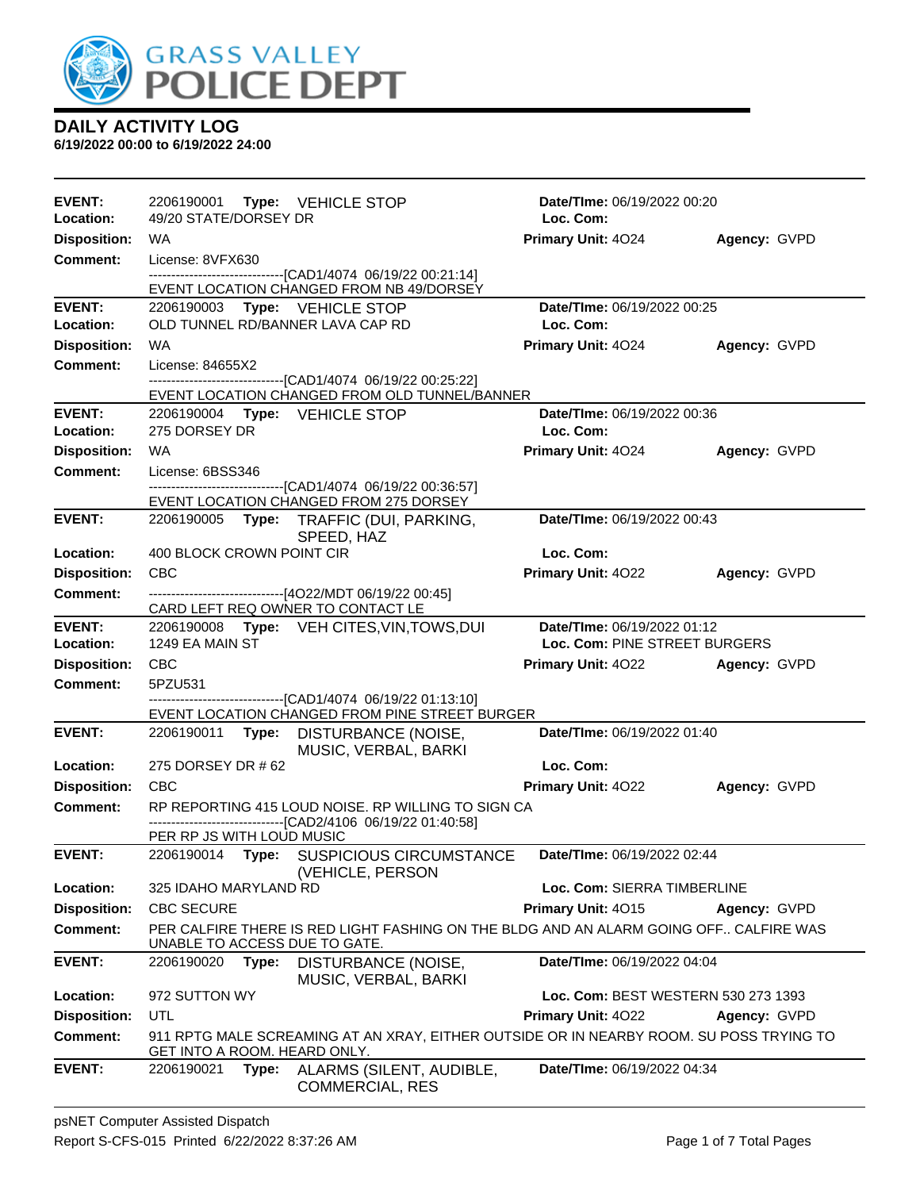

| <b>EVENT:</b><br>Location: | 2206190001<br>49/20 STATE/DORSEY DR                                                                                    |       | Type: VEHICLE STOP                                                                      | Date/TIme: 06/19/2022 00:20<br>Loc. Com: |              |  |
|----------------------------|------------------------------------------------------------------------------------------------------------------------|-------|-----------------------------------------------------------------------------------------|------------------------------------------|--------------|--|
| <b>Disposition:</b>        | WA                                                                                                                     |       |                                                                                         | <b>Primary Unit: 4024</b>                | Agency: GVPD |  |
| <b>Comment:</b>            | License: 8VFX630                                                                                                       |       |                                                                                         |                                          |              |  |
|                            |                                                                                                                        |       | -------------------------------[CAD1/4074 06/19/22 00:21:14]                            |                                          |              |  |
|                            |                                                                                                                        |       | EVENT LOCATION CHANGED FROM NB 49/DORSEY                                                |                                          |              |  |
| <b>EVENT:</b><br>Location: | Date/TIme: 06/19/2022 00:25<br>2206190003 Type: VEHICLE STOP<br>OLD TUNNEL RD/BANNER LAVA CAP RD<br>Loc. Com:          |       |                                                                                         |                                          |              |  |
| <b>Disposition:</b>        | <b>WA</b>                                                                                                              |       |                                                                                         | <b>Primary Unit: 4024</b>                | Agency: GVPD |  |
| <b>Comment:</b>            | License: 84655X2                                                                                                       |       |                                                                                         |                                          |              |  |
|                            |                                                                                                                        |       | -------------------------------[CAD1/4074 06/19/22 00:25:22]                            |                                          |              |  |
|                            |                                                                                                                        |       | EVENT LOCATION CHANGED FROM OLD TUNNEL/BANNER                                           |                                          |              |  |
| <b>EVENT:</b><br>Location: | 275 DORSEY DR                                                                                                          |       | 2206190004 Type: VEHICLE STOP                                                           | Date/TIme: 06/19/2022 00:36<br>Loc. Com: |              |  |
| <b>Disposition:</b>        | <b>WA</b>                                                                                                              |       |                                                                                         | <b>Primary Unit: 4024</b>                | Agency: GVPD |  |
| <b>Comment:</b>            | License: 6BSS346                                                                                                       |       |                                                                                         |                                          |              |  |
|                            |                                                                                                                        |       | ---------------------------------[CAD1/4074 06/19/22 00:36:57]                          |                                          |              |  |
|                            |                                                                                                                        |       | EVENT LOCATION CHANGED FROM 275 DORSEY                                                  |                                          |              |  |
| <b>EVENT:</b>              |                                                                                                                        |       | 2206190005 Type: TRAFFIC (DUI, PARKING,                                                 | Date/TIme: 06/19/2022 00:43              |              |  |
| Location:                  | 400 BLOCK CROWN POINT CIR                                                                                              |       | SPEED, HAZ                                                                              | Loc. Com:                                |              |  |
| <b>Disposition:</b>        | <b>CBC</b>                                                                                                             |       |                                                                                         | Primary Unit: 4022                       | Agency: GVPD |  |
| Comment:                   |                                                                                                                        |       | ------------------------------[4O22/MDT 06/19/22 00:45]                                 |                                          |              |  |
|                            |                                                                                                                        |       | CARD LEFT REQ OWNER TO CONTACT LE                                                       |                                          |              |  |
| <b>EVENT:</b>              |                                                                                                                        |       | 2206190008 Type: VEH CITES, VIN, TOWS, DUI                                              | Date/TIme: 06/19/2022 01:12              |              |  |
| Location:                  | 1249 EA MAIN ST                                                                                                        |       |                                                                                         | Loc. Com: PINE STREET BURGERS            |              |  |
| <b>Disposition:</b>        | <b>CBC</b>                                                                                                             |       |                                                                                         | <b>Primary Unit: 4022</b>                | Agency: GVPD |  |
| <b>Comment:</b>            | 5PZU531                                                                                                                |       | -------------------------------[CAD1/4074 06/19/22 01:13:10]                            |                                          |              |  |
|                            |                                                                                                                        |       | EVENT LOCATION CHANGED FROM PINE STREET BURGER                                          |                                          |              |  |
| <b>EVENT:</b>              |                                                                                                                        |       | 2206190011 Type: DISTURBANCE (NOISE,<br>MUSIC, VERBAL, BARKI                            | Date/TIme: 06/19/2022 01:40              |              |  |
| Location:                  | 275 DORSEY DR # 62                                                                                                     |       |                                                                                         | Loc. Com:                                |              |  |
| <b>Disposition:</b>        | <b>CBC</b>                                                                                                             |       |                                                                                         | <b>Primary Unit: 4022</b>                | Agency: GVPD |  |
| <b>Comment:</b>            | RP REPORTING 415 LOUD NOISE. RP WILLING TO SIGN CA<br>-------------------------------[CAD2/4106 06/19/22 01:40:58]     |       |                                                                                         |                                          |              |  |
|                            | PER RP JS WITH LOUD MUSIC                                                                                              |       |                                                                                         |                                          |              |  |
| <b>EVENT:</b>              |                                                                                                                        |       | 2206190014 Type: SUSPICIOUS CIRCUMSTANCE<br>(VEHICLE, PERSON                            | Date/TIme: 06/19/2022 02:44              |              |  |
| Location:                  | 325 IDAHO MARYLAND RD                                                                                                  |       |                                                                                         | Loc. Com: SIERRA TIMBERLINE              |              |  |
| <b>Disposition:</b>        | <b>CBC SECURE</b>                                                                                                      |       |                                                                                         | Primary Unit: 4015                       | Agency: GVPD |  |
| <b>Comment:</b>            | PER CALFIRE THERE IS RED LIGHT FASHING ON THE BLDG AND AN ALARM GOING OFF CALFIRE WAS<br>UNABLE TO ACCESS DUE TO GATE. |       |                                                                                         |                                          |              |  |
| <b>EVENT:</b>              | 2206190020                                                                                                             | Type: | DISTURBANCE (NOISE,<br>MUSIC, VERBAL, BARKI                                             | Date/TIme: 06/19/2022 04:04              |              |  |
| Location:                  | 972 SUTTON WY                                                                                                          |       |                                                                                         | Loc. Com: BEST WESTERN 530 273 1393      |              |  |
| <b>Disposition:</b>        | UTL                                                                                                                    |       |                                                                                         | Primary Unit: 4022                       | Agency: GVPD |  |
| Comment:                   | GET INTO A ROOM. HEARD ONLY.                                                                                           |       | 911 RPTG MALE SCREAMING AT AN XRAY, EITHER OUTSIDE OR IN NEARBY ROOM. SU POSS TRYING TO |                                          |              |  |
| <b>EVENT:</b>              | 2206190021                                                                                                             | Type: | ALARMS (SILENT, AUDIBLE,<br><b>COMMERCIAL, RES</b>                                      | Date/TIme: 06/19/2022 04:34              |              |  |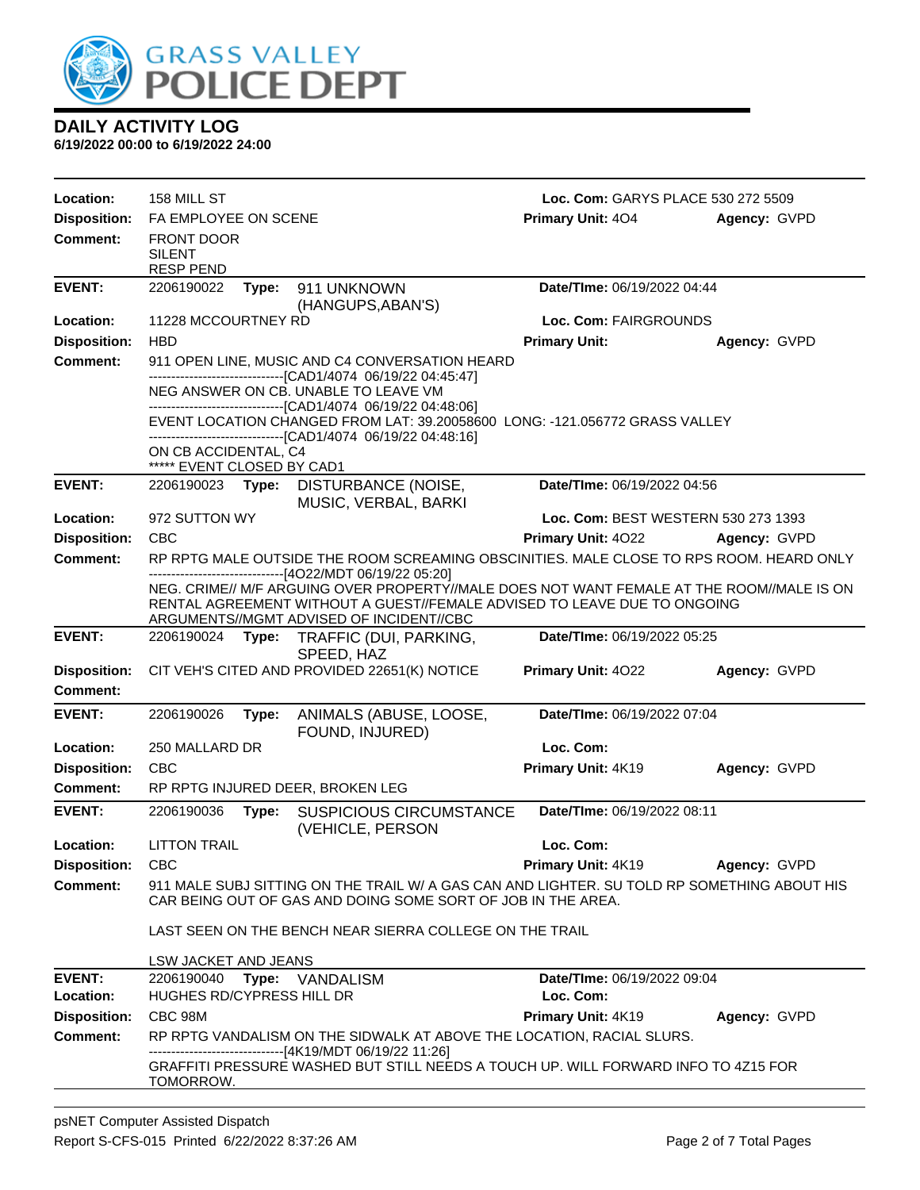

| Location:                  | 158 MILL ST                                                                                                                                                                                                                                                                   |       |                                                                                                                                                                    | Loc. Com: GARYS PLACE 530 272 5509       |              |  |
|----------------------------|-------------------------------------------------------------------------------------------------------------------------------------------------------------------------------------------------------------------------------------------------------------------------------|-------|--------------------------------------------------------------------------------------------------------------------------------------------------------------------|------------------------------------------|--------------|--|
| <b>Disposition:</b>        | FA EMPLOYEE ON SCENE                                                                                                                                                                                                                                                          |       |                                                                                                                                                                    | Primary Unit: 404                        | Agency: GVPD |  |
| <b>Comment:</b>            | <b>FRONT DOOR</b><br><b>SILENT</b><br><b>RESP PEND</b>                                                                                                                                                                                                                        |       |                                                                                                                                                                    |                                          |              |  |
| <b>EVENT:</b>              | Date/TIme: 06/19/2022 04:44<br>2206190022<br>Type:<br>911 UNKNOWN<br>(HANGUPS, ABAN'S)                                                                                                                                                                                        |       |                                                                                                                                                                    |                                          |              |  |
| Location:                  | 11228 MCCOURTNEY RD                                                                                                                                                                                                                                                           |       |                                                                                                                                                                    | Loc. Com: FAIRGROUNDS                    |              |  |
| <b>Disposition:</b>        | <b>HBD</b>                                                                                                                                                                                                                                                                    |       |                                                                                                                                                                    | <b>Primary Unit:</b>                     | Agency: GVPD |  |
| <b>Comment:</b>            | 911 OPEN LINE, MUSIC AND C4 CONVERSATION HEARD                                                                                                                                                                                                                                |       |                                                                                                                                                                    |                                          |              |  |
|                            |                                                                                                                                                                                                                                                                               |       | ------------------------------[CAD1/4074 06/19/22 04:45:47]<br>NEG ANSWER ON CB. UNABLE TO LEAVE VM<br>------------------------------[CAD1/4074 06/19/22 04:48:06] |                                          |              |  |
|                            |                                                                                                                                                                                                                                                                               |       | EVENT LOCATION CHANGED FROM LAT: 39.20058600 LONG: -121.056772 GRASS VALLEY<br>-------------------------------[CAD1/4074_06/19/22_04:48:16]                        |                                          |              |  |
|                            | ON CB ACCIDENTAL, C4<br>***** EVENT CLOSED BY CAD1                                                                                                                                                                                                                            |       |                                                                                                                                                                    |                                          |              |  |
| <b>EVENT:</b>              | 2206190023                                                                                                                                                                                                                                                                    |       | Type: DISTURBANCE (NOISE,<br>MUSIC, VERBAL, BARKI                                                                                                                  | Date/TIme: 06/19/2022 04:56              |              |  |
| Location:                  | 972 SUTTON WY                                                                                                                                                                                                                                                                 |       |                                                                                                                                                                    | Loc. Com: BEST WESTERN 530 273 1393      |              |  |
| <b>Disposition:</b>        | <b>CBC</b>                                                                                                                                                                                                                                                                    |       |                                                                                                                                                                    | Primary Unit: 4022                       | Agency: GVPD |  |
| <b>Comment:</b>            |                                                                                                                                                                                                                                                                               |       | RP RPTG MALE OUTSIDE THE ROOM SCREAMING OBSCINITIES. MALE CLOSE TO RPS ROOM. HEARD ONLY                                                                            |                                          |              |  |
|                            | -------------------------------[4O22/MDT 06/19/22 05:20]<br>NEG. CRIME// M/F ARGUING OVER PROPERTY//MALE DOES NOT WANT FEMALE AT THE ROOM//MALE IS ON<br>RENTAL AGREEMENT WITHOUT A GUEST//FEMALE ADVISED TO LEAVE DUE TO ONGOING<br>ARGUMENTS//MGMT ADVISED OF INCIDENT//CBC |       |                                                                                                                                                                    |                                          |              |  |
| <b>EVENT:</b>              | 2206190024                                                                                                                                                                                                                                                                    | Type: | TRAFFIC (DUI, PARKING,<br>SPEED, HAZ                                                                                                                               | Date/TIme: 06/19/2022 05:25              |              |  |
| <b>Disposition:</b>        |                                                                                                                                                                                                                                                                               |       | CIT VEH'S CITED AND PROVIDED 22651(K) NOTICE                                                                                                                       | Primary Unit: 4022                       | Agency: GVPD |  |
| <b>Comment:</b>            |                                                                                                                                                                                                                                                                               |       |                                                                                                                                                                    |                                          |              |  |
| <b>EVENT:</b>              | 2206190026                                                                                                                                                                                                                                                                    | Type: | ANIMALS (ABUSE, LOOSE,<br>FOUND, INJURED)                                                                                                                          | Date/TIme: 06/19/2022 07:04              |              |  |
| Location:                  | 250 MALLARD DR                                                                                                                                                                                                                                                                |       |                                                                                                                                                                    | Loc. Com:                                |              |  |
| <b>Disposition:</b>        | <b>CBC</b>                                                                                                                                                                                                                                                                    |       |                                                                                                                                                                    | Primary Unit: 4K19                       | Agency: GVPD |  |
| <b>Comment:</b>            |                                                                                                                                                                                                                                                                               |       | RP RPTG INJURED DEER, BROKEN LEG                                                                                                                                   |                                          |              |  |
| <b>EVENT:</b>              | 2206190036                                                                                                                                                                                                                                                                    | Type: | <b>SUSPICIOUS CIRCUMSTANCE</b><br>(VEHICLE, PERSON                                                                                                                 | Date/TIme: 06/19/2022 08:11              |              |  |
| Location:                  | <b>LITTON TRAIL</b>                                                                                                                                                                                                                                                           |       |                                                                                                                                                                    | Loc. Com:                                |              |  |
| <b>Disposition:</b>        | <b>CBC</b>                                                                                                                                                                                                                                                                    |       |                                                                                                                                                                    | Primary Unit: 4K19                       | Agency: GVPD |  |
| <b>Comment:</b>            | 911 MALE SUBJ SITTING ON THE TRAIL W/ A GAS CAN AND LIGHTER. SU TOLD RP SOMETHING ABOUT HIS<br>CAR BEING OUT OF GAS AND DOING SOME SORT OF JOB IN THE AREA.                                                                                                                   |       |                                                                                                                                                                    |                                          |              |  |
|                            | LAST SEEN ON THE BENCH NEAR SIERRA COLLEGE ON THE TRAIL                                                                                                                                                                                                                       |       |                                                                                                                                                                    |                                          |              |  |
|                            | LSW JACKET AND JEANS                                                                                                                                                                                                                                                          |       |                                                                                                                                                                    |                                          |              |  |
| <b>EVENT:</b><br>Location: | 2206190040<br>HUGHES RD/CYPRESS HILL DR                                                                                                                                                                                                                                       |       | Type: VANDALISM                                                                                                                                                    | Date/TIme: 06/19/2022 09:04<br>Loc. Com: |              |  |
| <b>Disposition:</b>        | CBC 98M                                                                                                                                                                                                                                                                       |       |                                                                                                                                                                    | Primary Unit: 4K19                       | Agency: GVPD |  |
| <b>Comment:</b>            |                                                                                                                                                                                                                                                                               |       | RP RPTG VANDALISM ON THE SIDWALK AT ABOVE THE LOCATION, RACIAL SLURS.                                                                                              |                                          |              |  |
|                            | TOMORROW.                                                                                                                                                                                                                                                                     |       | --------------------------[4K19/MDT 06/19/22 11:26]<br>GRAFFITI PRESSURE WASHED BUT STILL NEEDS A TOUCH UP. WILL FORWARD INFO TO 4Z15 FOR                          |                                          |              |  |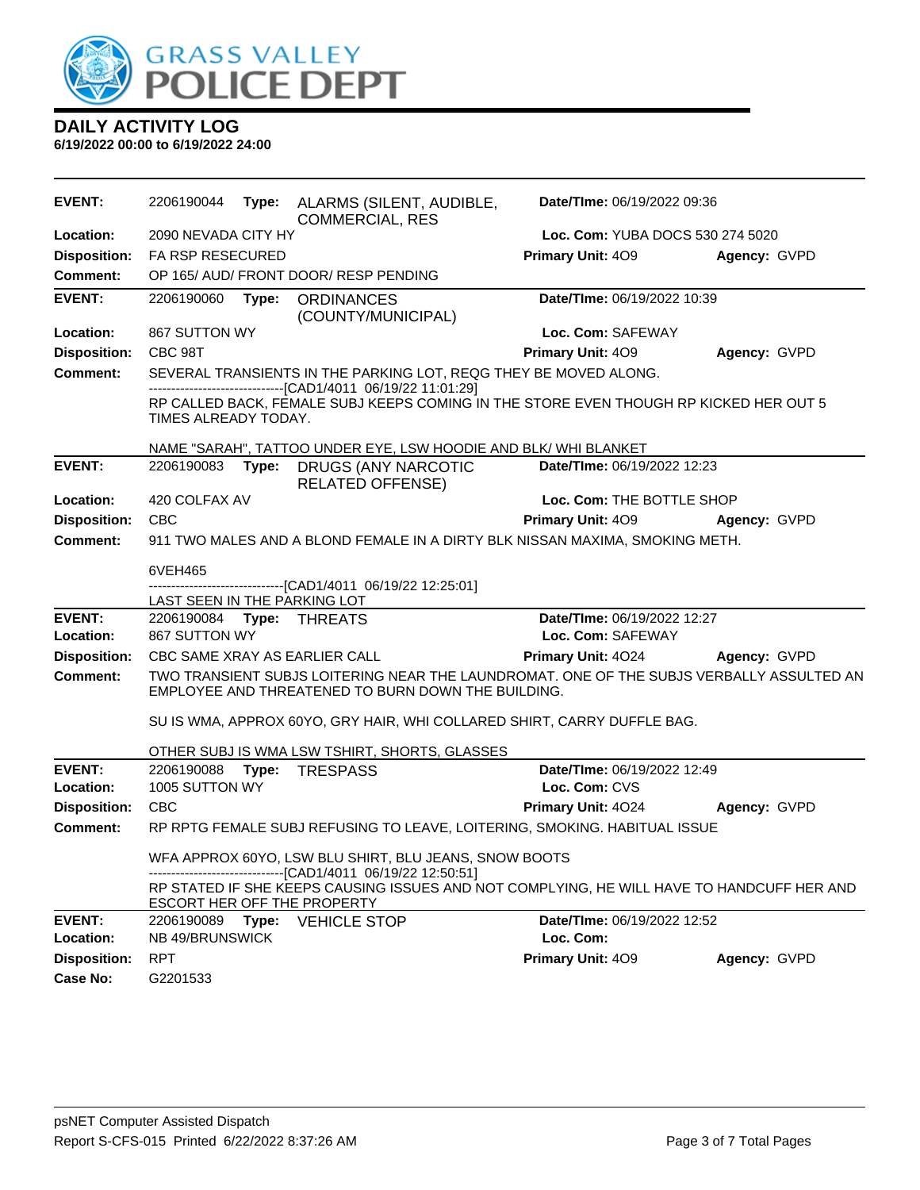

| <b>EVENT:</b>              | 2206190044                                                                                                                                                              |       | <b>Type:</b> ALARMS (SILENT, AUDIBLE,<br><b>COMMERCIAL, RES</b>                                                                                | Date/TIme: 06/19/2022 09:36                      |              |  |
|----------------------------|-------------------------------------------------------------------------------------------------------------------------------------------------------------------------|-------|------------------------------------------------------------------------------------------------------------------------------------------------|--------------------------------------------------|--------------|--|
| Location:                  | 2090 NEVADA CITY HY                                                                                                                                                     |       |                                                                                                                                                | Loc. Com: YUBA DOCS 530 274 5020                 |              |  |
| <b>Disposition:</b>        | FA RSP RESECURED                                                                                                                                                        |       |                                                                                                                                                | <b>Primary Unit: 409</b>                         | Agency: GVPD |  |
| <b>Comment:</b>            |                                                                                                                                                                         |       | OP 165/ AUD/ FRONT DOOR/ RESP PENDING                                                                                                          |                                                  |              |  |
| <b>EVENT:</b>              | 2206190060                                                                                                                                                              | Type: | <b>ORDINANCES</b><br>(COUNTY/MUNICIPAL)                                                                                                        | Date/TIme: 06/19/2022 10:39                      |              |  |
| Location:                  | 867 SUTTON WY                                                                                                                                                           |       |                                                                                                                                                | Loc. Com: SAFEWAY                                |              |  |
| <b>Disposition:</b>        | CBC 98T                                                                                                                                                                 |       |                                                                                                                                                | Primary Unit: 409                                | Agency: GVPD |  |
| <b>Comment:</b>            |                                                                                                                                                                         |       | SEVERAL TRANSIENTS IN THE PARKING LOT, REQG THEY BE MOVED ALONG.                                                                               |                                                  |              |  |
|                            | -------------------------[CAD1/4011_06/19/22 11:01:29]<br>RP CALLED BACK, FEMALE SUBJ KEEPS COMING IN THE STORE EVEN THOUGH RP KICKED HER OUT 5<br>TIMES ALREADY TODAY. |       |                                                                                                                                                |                                                  |              |  |
|                            |                                                                                                                                                                         |       | NAME "SARAH", TATTOO UNDER EYE, LSW HOODIE AND BLK/ WHI BLANKET                                                                                |                                                  |              |  |
| <b>EVENT:</b>              | 2206190083                                                                                                                                                              | Type: | DRUGS (ANY NARCOTIC<br><b>RELATED OFFENSE)</b>                                                                                                 | Date/TIme: 06/19/2022 12:23                      |              |  |
| Location:                  | 420 COLFAX AV                                                                                                                                                           |       |                                                                                                                                                | Loc. Com: THE BOTTLE SHOP                        |              |  |
| <b>Disposition:</b>        | <b>CBC</b>                                                                                                                                                              |       |                                                                                                                                                | Primary Unit: 409                                | Agency: GVPD |  |
| <b>Comment:</b>            | 911 TWO MALES AND A BLOND FEMALE IN A DIRTY BLK NISSAN MAXIMA, SMOKING METH.                                                                                            |       |                                                                                                                                                |                                                  |              |  |
|                            | 6VEH465                                                                                                                                                                 |       |                                                                                                                                                |                                                  |              |  |
|                            | LAST SEEN IN THE PARKING LOT                                                                                                                                            |       | ------------------------[CAD1/4011_06/19/22 12:25:01]                                                                                          |                                                  |              |  |
| <b>EVENT:</b><br>Location: | 2206190084 Type: THREATS<br>867 SUTTON WY                                                                                                                               |       |                                                                                                                                                | Date/TIme: 06/19/2022 12:27<br>Loc. Com: SAFEWAY |              |  |
| <b>Disposition:</b>        |                                                                                                                                                                         |       | CBC SAME XRAY AS EARLIER CALL                                                                                                                  | <b>Primary Unit: 4024</b>                        | Agency: GVPD |  |
| <b>Comment:</b>            |                                                                                                                                                                         |       | TWO TRANSIENT SUBJS LOITERING NEAR THE LAUNDROMAT. ONE OF THE SUBJS VERBALLY ASSULTED AN<br>EMPLOYEE AND THREATENED TO BURN DOWN THE BUILDING. |                                                  |              |  |
|                            |                                                                                                                                                                         |       | SU IS WMA, APPROX 60YO, GRY HAIR, WHI COLLARED SHIRT, CARRY DUFFLE BAG.                                                                        |                                                  |              |  |
|                            |                                                                                                                                                                         |       | OTHER SUBJ IS WMA LSW TSHIRT, SHORTS, GLASSES                                                                                                  |                                                  |              |  |
| <b>EVENT:</b><br>Location: | 2206190088<br>1005 SUTTON WY                                                                                                                                            |       | Type: TRESPASS                                                                                                                                 | Date/TIme: 06/19/2022 12:49<br>Loc. Com: CVS     |              |  |
| <b>Disposition:</b>        | CBC                                                                                                                                                                     |       |                                                                                                                                                | <b>Primary Unit: 4024</b>                        | Agency: GVPD |  |
| <b>Comment:</b>            |                                                                                                                                                                         |       | RP RPTG FEMALE SUBJ REFUSING TO LEAVE, LOITERING, SMOKING. HABITUAL ISSUE                                                                      |                                                  |              |  |
|                            |                                                                                                                                                                         |       | WFA APPROX 60YO, LSW BLU SHIRT, BLU JEANS, SNOW BOOTS<br>-------------------------------[CAD1/4011 06/19/22 12:50:51]                          |                                                  |              |  |
|                            |                                                                                                                                                                         |       | RP STATED IF SHE KEEPS CAUSING ISSUES AND NOT COMPLYING, HE WILL HAVE TO HANDCUFF HER AND<br>ESCORT HER OFF THE PROPERTY                       |                                                  |              |  |
| <b>EVENT:</b><br>Location: | 2206190089<br>NB 49/BRUNSWICK                                                                                                                                           |       | Type: VEHICLE STOP                                                                                                                             | Date/TIme: 06/19/2022 12:52<br>Loc. Com:         |              |  |
| <b>Disposition:</b>        | <b>RPT</b>                                                                                                                                                              |       |                                                                                                                                                | Primary Unit: 409                                | Agency: GVPD |  |
| Case No:                   | G2201533                                                                                                                                                                |       |                                                                                                                                                |                                                  |              |  |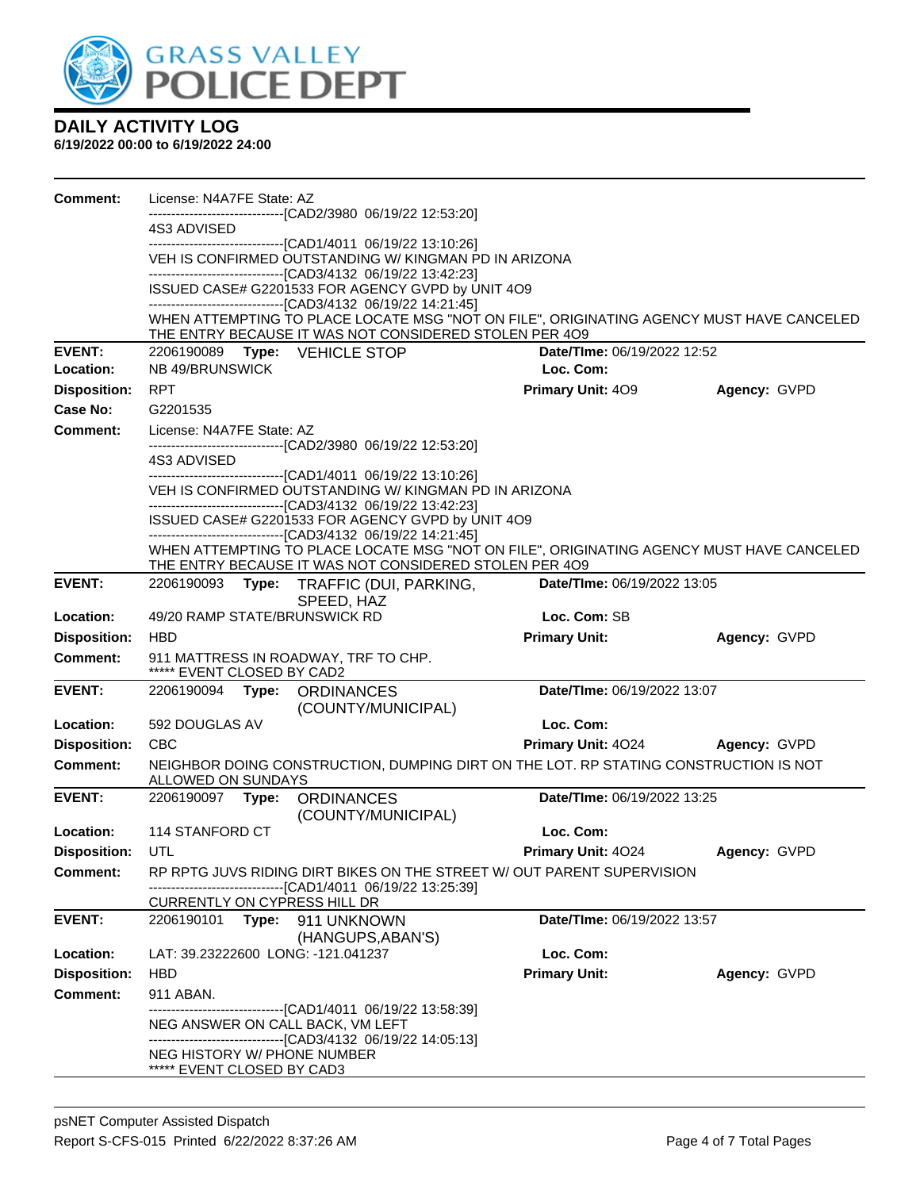

| <b>Comment:</b>     | License: N4A7FE State: AZ                                                                                  |       |                                                                                                                                                    |                             |              |  |
|---------------------|------------------------------------------------------------------------------------------------------------|-------|----------------------------------------------------------------------------------------------------------------------------------------------------|-----------------------------|--------------|--|
|                     | 4S3 ADVISED                                                                                                |       | ------------------------------[CAD2/3980_06/19/22 12:53:20]                                                                                        |                             |              |  |
|                     |                                                                                                            |       | -------------------------------[CAD1/4011 06/19/22 13:10:26]                                                                                       |                             |              |  |
|                     |                                                                                                            |       | VEH IS CONFIRMED OUTSTANDING W/ KINGMAN PD IN ARIZONA<br>---------------------------------[CAD3/4132 06/19/22 13:42:23]                            |                             |              |  |
|                     |                                                                                                            |       | ISSUED CASE# G2201533 FOR AGENCY GVPD by UNIT 4O9                                                                                                  |                             |              |  |
|                     |                                                                                                            |       | ------------------------------[CAD3/4132 06/19/22 14:21:45]                                                                                        |                             |              |  |
|                     |                                                                                                            |       | WHEN ATTEMPTING TO PLACE LOCATE MSG "NOT ON FILE", ORIGINATING AGENCY MUST HAVE CANCELED<br>THE ENTRY BECAUSE IT WAS NOT CONSIDERED STOLEN PER 4O9 |                             |              |  |
| <b>EVENT:</b>       | Date/TIme: 06/19/2022 12:52<br>2206190089<br>Type: VEHICLE STOP                                            |       |                                                                                                                                                    |                             |              |  |
| Location:           | NB 49/BRUNSWICK                                                                                            |       |                                                                                                                                                    | Loc. Com:                   |              |  |
| <b>Disposition:</b> | <b>RPT</b>                                                                                                 |       |                                                                                                                                                    | <b>Primary Unit: 409</b>    | Agency: GVPD |  |
| <b>Case No:</b>     | G2201535                                                                                                   |       |                                                                                                                                                    |                             |              |  |
| <b>Comment:</b>     | License: N4A7FE State: AZ                                                                                  |       | -------------------------------[CAD2/3980_06/19/22 12:53:20]                                                                                       |                             |              |  |
|                     | 4S3 ADVISED                                                                                                |       |                                                                                                                                                    |                             |              |  |
|                     |                                                                                                            |       | -------------------------------[CAD1/4011 06/19/22 13:10:26]<br>VEH IS CONFIRMED OUTSTANDING W/ KINGMAN PD IN ARIZONA                              |                             |              |  |
|                     |                                                                                                            |       | -------------------------------[CAD3/4132 06/19/22 13:42:23]                                                                                       |                             |              |  |
|                     |                                                                                                            |       | ISSUED CASE# G2201533 FOR AGENCY GVPD by UNIT 4O9                                                                                                  |                             |              |  |
|                     |                                                                                                            |       | ------------------------[CAD3/4132_06/19/22 14:21:45]<br>WHEN ATTEMPTING TO PLACE LOCATE MSG "NOT ON FILE", ORIGINATING AGENCY MUST HAVE CANCELED  |                             |              |  |
|                     |                                                                                                            |       | THE ENTRY BECAUSE IT WAS NOT CONSIDERED STOLEN PER 4O9                                                                                             |                             |              |  |
| <b>EVENT:</b>       | 2206190093                                                                                                 | Type: | TRAFFIC (DUI, PARKING,                                                                                                                             | Date/TIme: 06/19/2022 13:05 |              |  |
| Location:           |                                                                                                            |       | SPEED, HAZ<br>49/20 RAMP STATE/BRUNSWICK RD                                                                                                        | Loc. Com: SB                |              |  |
| <b>Disposition:</b> | <b>HBD</b>                                                                                                 |       |                                                                                                                                                    | <b>Primary Unit:</b>        | Agency: GVPD |  |
| <b>Comment:</b>     |                                                                                                            |       | 911 MATTRESS IN ROADWAY, TRF TO CHP.                                                                                                               |                             |              |  |
|                     | ***** EVENT CLOSED BY CAD2                                                                                 |       |                                                                                                                                                    |                             |              |  |
| <b>EVENT:</b>       | 2206190094                                                                                                 |       | Type: ORDINANCES<br>(COUNTY/MUNICIPAL)                                                                                                             | Date/TIme: 06/19/2022 13:07 |              |  |
| Location:           | 592 DOUGLAS AV                                                                                             |       |                                                                                                                                                    | Loc. Com:                   |              |  |
| <b>Disposition:</b> | <b>CBC</b>                                                                                                 |       |                                                                                                                                                    | <b>Primary Unit: 4024</b>   | Agency: GVPD |  |
| <b>Comment:</b>     | NEIGHBOR DOING CONSTRUCTION, DUMPING DIRT ON THE LOT. RP STATING CONSTRUCTION IS NOT<br>ALLOWED ON SUNDAYS |       |                                                                                                                                                    |                             |              |  |
| <b>EVENT:</b>       | 2206190097                                                                                                 | Type: | <b>ORDINANCES</b><br>(COUNTY/MUNICIPAL)                                                                                                            | Date/TIme: 06/19/2022 13:25 |              |  |
| Location:           | 114 STANFORD CT                                                                                            |       |                                                                                                                                                    | Loc. Com:                   |              |  |
| <b>Disposition:</b> | UTL                                                                                                        |       |                                                                                                                                                    | Primary Unit: 4024          | Agency: GVPD |  |
| <b>Comment:</b>     |                                                                                                            |       | RP RPTG JUVS RIDING DIRT BIKES ON THE STREET W/ OUT PARENT SUPERVISION<br>----------------------[CAD1/4011_06/19/22 13:25:39]                      |                             |              |  |
|                     |                                                                                                            |       | <b>CURRENTLY ON CYPRESS HILL DR</b>                                                                                                                |                             |              |  |
| <b>EVENT:</b>       | 2206190101                                                                                                 | Type: | 911 UNKNOWN                                                                                                                                        | Date/TIme: 06/19/2022 13:57 |              |  |
| Location:           |                                                                                                            |       | (HANGUPS, ABAN'S)<br>LAT: 39.23222600 LONG: -121.041237                                                                                            | Loc. Com:                   |              |  |
| <b>Disposition:</b> | <b>HBD</b>                                                                                                 |       |                                                                                                                                                    | <b>Primary Unit:</b>        | Agency: GVPD |  |
| <b>Comment:</b>     | 911 ABAN.                                                                                                  |       |                                                                                                                                                    |                             |              |  |
|                     |                                                                                                            |       | -------------------------[CAD1/4011_06/19/22 13:58:39]                                                                                             |                             |              |  |
|                     |                                                                                                            |       | NEG ANSWER ON CALL BACK, VM LEFT<br>----------------------------------[CAD3/4132 06/19/22 14:05:13]                                                |                             |              |  |
|                     |                                                                                                            |       | NEG HISTORY W/ PHONE NUMBER                                                                                                                        |                             |              |  |
|                     | ***** EVENT CLOSED BY CAD3                                                                                 |       |                                                                                                                                                    |                             |              |  |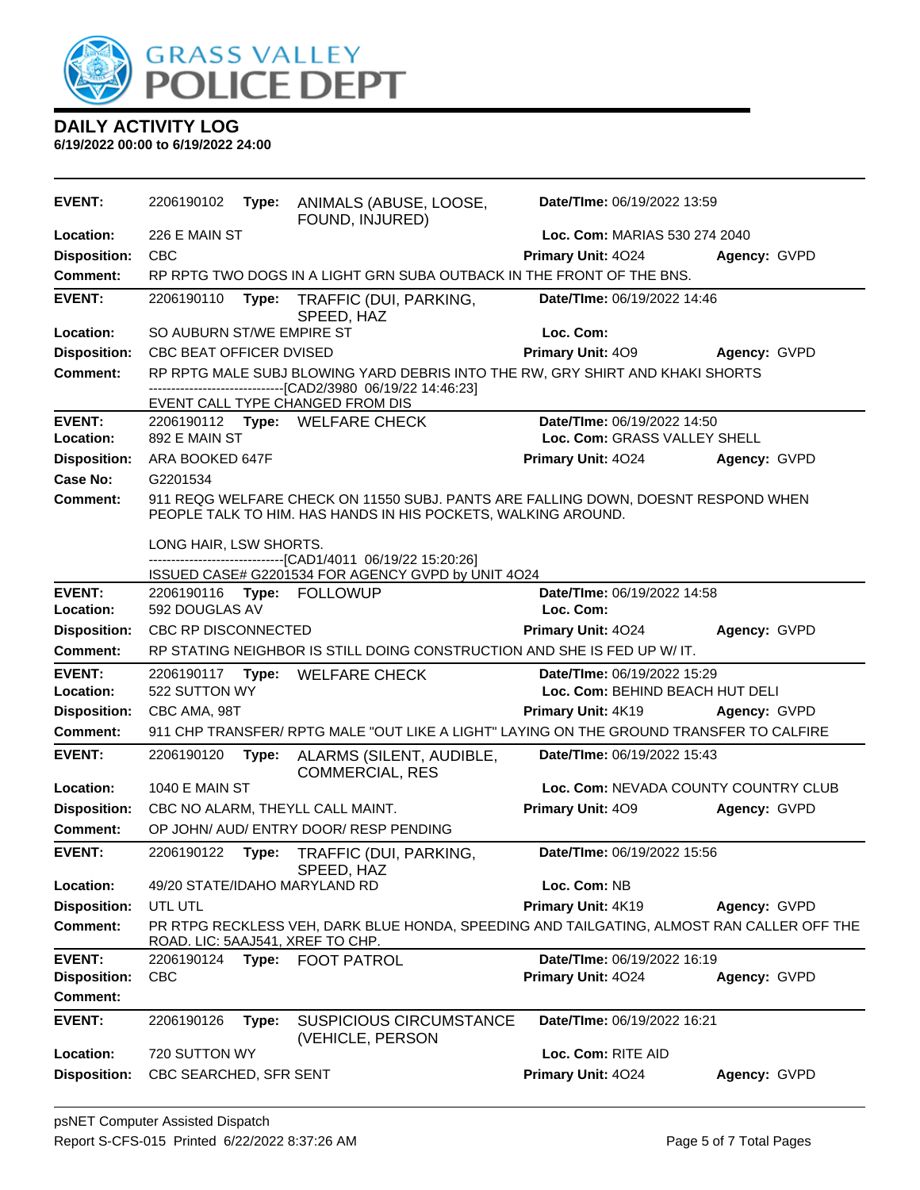

| <b>EVENT:</b>                    | 2206190102                                                                                                                                                                          |       | Type: ANIMALS (ABUSE, LOOSE,<br>FOUND, INJURED)                                                                               | Date/TIme: 06/19/2022 13:59          |              |  |
|----------------------------------|-------------------------------------------------------------------------------------------------------------------------------------------------------------------------------------|-------|-------------------------------------------------------------------------------------------------------------------------------|--------------------------------------|--------------|--|
| Location:                        | 226 E MAIN ST                                                                                                                                                                       |       |                                                                                                                               | Loc. Com: MARIAS 530 274 2040        |              |  |
| <b>Disposition:</b>              | <b>CBC</b>                                                                                                                                                                          |       |                                                                                                                               | Primary Unit: 4024                   | Agency: GVPD |  |
| <b>Comment:</b>                  |                                                                                                                                                                                     |       | RP RPTG TWO DOGS IN A LIGHT GRN SUBA OUTBACK IN THE FRONT OF THE BNS.                                                         |                                      |              |  |
| <b>EVENT:</b>                    | 2206190110                                                                                                                                                                          | Type: | TRAFFIC (DUI, PARKING,<br>SPEED, HAZ                                                                                          | Date/TIme: 06/19/2022 14:46          |              |  |
| Location:                        | SO AUBURN ST/WE EMPIRE ST                                                                                                                                                           |       |                                                                                                                               | Loc. Com:                            |              |  |
| <b>Disposition:</b>              | CBC BEAT OFFICER DVISED                                                                                                                                                             |       |                                                                                                                               | <b>Primary Unit: 409</b>             | Agency: GVPD |  |
| <b>Comment:</b>                  | RP RPTG MALE SUBJ BLOWING YARD DEBRIS INTO THE RW, GRY SHIRT AND KHAKI SHORTS<br>---------------------------------[CAD2/3980_06/19/22 14:46:23]<br>EVENT CALL TYPE CHANGED FROM DIS |       |                                                                                                                               |                                      |              |  |
| <b>EVENT:</b>                    |                                                                                                                                                                                     |       | 2206190112 Type: WELFARE CHECK                                                                                                | Date/TIme: 06/19/2022 14:50          |              |  |
| Location:                        | 892 E MAIN ST                                                                                                                                                                       |       |                                                                                                                               | Loc. Com: GRASS VALLEY SHELL         |              |  |
| <b>Disposition:</b>              | ARA BOOKED 647F                                                                                                                                                                     |       |                                                                                                                               | <b>Primary Unit: 4024</b>            | Agency: GVPD |  |
| Case No:                         | G2201534                                                                                                                                                                            |       |                                                                                                                               |                                      |              |  |
| Comment:                         | 911 REQG WELFARE CHECK ON 11550 SUBJ. PANTS ARE FALLING DOWN, DOESNT RESPOND WHEN<br>PEOPLE TALK TO HIM. HAS HANDS IN HIS POCKETS, WALKING AROUND.                                  |       |                                                                                                                               |                                      |              |  |
|                                  | LONG HAIR, LSW SHORTS.                                                                                                                                                              |       | -------------------------------[CAD1/4011 06/19/22 15:20:26]<br>ISSUED CASE# G2201534 FOR AGENCY GVPD by UNIT 4O24            |                                      |              |  |
| <b>EVENT:</b>                    |                                                                                                                                                                                     |       | 2206190116 Type: FOLLOWUP                                                                                                     | Date/TIme: 06/19/2022 14:58          |              |  |
| Location:                        | 592 DOUGLAS AV                                                                                                                                                                      |       |                                                                                                                               | Loc. Com:                            |              |  |
| <b>Disposition:</b>              | CBC RP DISCONNECTED                                                                                                                                                                 |       |                                                                                                                               | Primary Unit: 4024                   | Agency: GVPD |  |
| <b>Comment:</b>                  | RP STATING NEIGHBOR IS STILL DOING CONSTRUCTION AND SHE IS FED UP W/ IT.                                                                                                            |       |                                                                                                                               |                                      |              |  |
|                                  |                                                                                                                                                                                     |       |                                                                                                                               |                                      |              |  |
| <b>EVENT:</b>                    | 2206190117 Type:                                                                                                                                                                    |       | <b>WELFARE CHECK</b>                                                                                                          | Date/TIme: 06/19/2022 15:29          |              |  |
| Location:                        | 522 SUTTON WY                                                                                                                                                                       |       |                                                                                                                               | Loc. Com: BEHIND BEACH HUT DELI      |              |  |
| <b>Disposition:</b>              | CBC AMA, 98T                                                                                                                                                                        |       |                                                                                                                               | Primary Unit: 4K19                   | Agency: GVPD |  |
| <b>Comment:</b><br><b>EVENT:</b> | 2206190120                                                                                                                                                                          | Type: | 911 CHP TRANSFER/ RPTG MALE "OUT LIKE A LIGHT" LAYING ON THE GROUND TRANSFER TO CALFIRE<br>ALARMS (SILENT, AUDIBLE,           | Date/TIme: 06/19/2022 15:43          |              |  |
|                                  |                                                                                                                                                                                     |       | <b>COMMERCIAL, RES</b>                                                                                                        |                                      |              |  |
| Location:                        | <b>1040 E MAIN ST</b>                                                                                                                                                               |       |                                                                                                                               | Loc. Com: NEVADA COUNTY COUNTRY CLUB |              |  |
| <b>Disposition:</b><br>Comment:  |                                                                                                                                                                                     |       | CBC NO ALARM, THEYLL CALL MAINT.<br>OP JOHN/ AUD/ ENTRY DOOR/ RESP PENDING                                                    | Primary Unit: 409                    | Agency: GVPD |  |
| <b>EVENT:</b>                    | 2206190122                                                                                                                                                                          | Type: | TRAFFIC (DUI, PARKING,                                                                                                        | Date/Time: 06/19/2022 15:56          |              |  |
| Location:                        |                                                                                                                                                                                     |       | SPEED, HAZ<br>49/20 STATE/IDAHO MARYLAND RD                                                                                   | Loc. Com: NB                         |              |  |
| <b>Disposition:</b>              | UTL UTL                                                                                                                                                                             |       |                                                                                                                               | Primary Unit: 4K19                   | Agency: GVPD |  |
| <b>Comment:</b>                  |                                                                                                                                                                                     |       | PR RTPG RECKLESS VEH, DARK BLUE HONDA, SPEEDING AND TAILGATING, ALMOST RAN CALLER OFF THE<br>ROAD. LIC: 5AAJ541, XREF TO CHP. |                                      |              |  |
| <b>EVENT:</b>                    | 2206190124                                                                                                                                                                          | Type: | <b>FOOT PATROL</b>                                                                                                            | Date/TIme: 06/19/2022 16:19          |              |  |
| <b>Disposition:</b>              | <b>CBC</b>                                                                                                                                                                          |       |                                                                                                                               | Primary Unit: 4024                   | Agency: GVPD |  |
| <b>Comment:</b>                  |                                                                                                                                                                                     |       |                                                                                                                               |                                      |              |  |
| <b>EVENT:</b>                    | 2206190126                                                                                                                                                                          | Type: | <b>SUSPICIOUS CIRCUMSTANCE</b><br>(VEHICLE, PERSON                                                                            | Date/TIme: 06/19/2022 16:21          |              |  |
| Location:                        | 720 SUTTON WY                                                                                                                                                                       |       |                                                                                                                               | Loc. Com: RITE AID                   |              |  |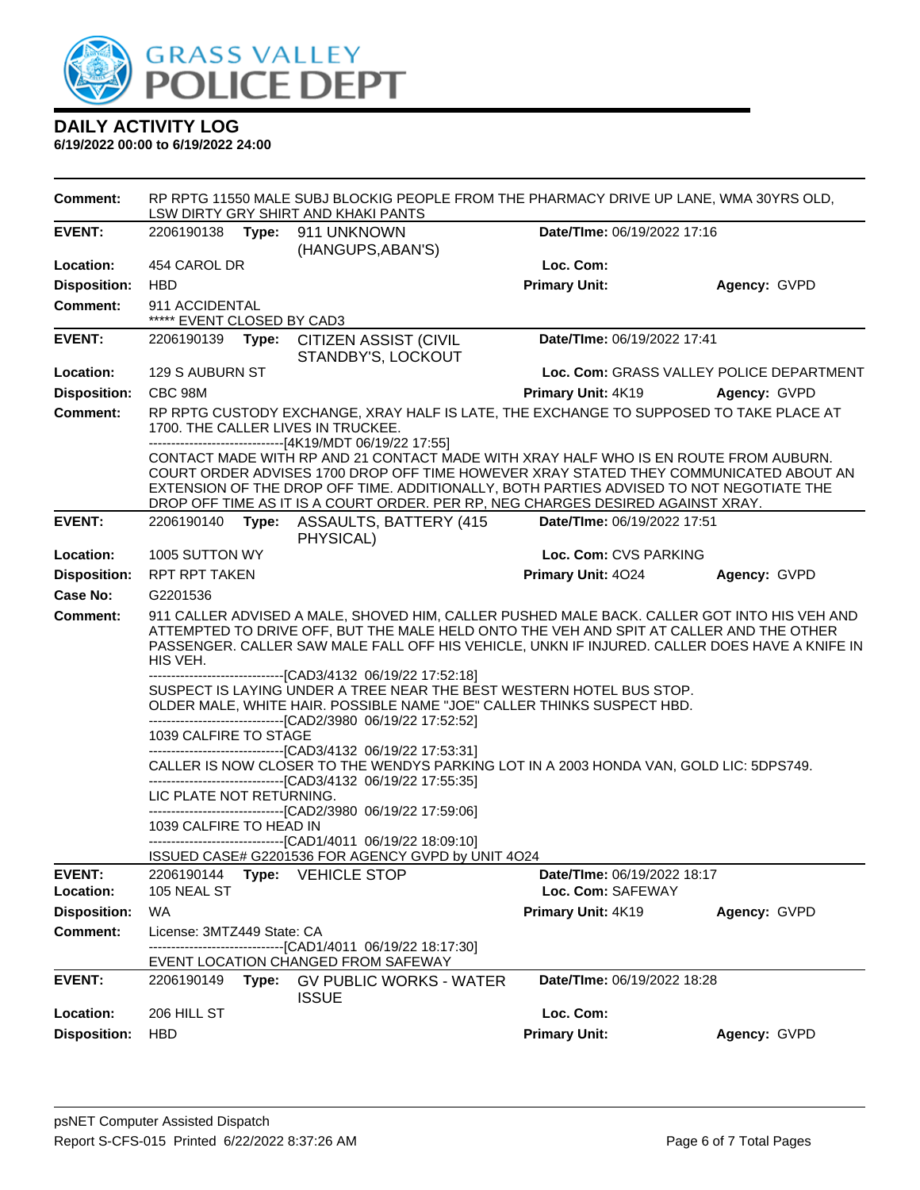

**6/19/2022 00:00 to 6/19/2022 24:00**

**Comment:** RP RPTG 11550 MALE SUBJ BLOCKIG PEOPLE FROM THE PHARMACY DRIVE UP LANE, WMA 30YRS OLD, LSW DIRTY GRY SHIRT AND KHAKI PANTS **EVENT:** 2206190138 **Type:** 911 UNKNOWN (HANGUPS,ABAN'S) **Date/TIme:** 06/19/2022 17:16 **Location:** 454 CAROL DR **Loc. Com: Disposition:** HBD **Primary Unit: Agency:** GVPD **Comment:** 911 ACCIDENTAL \*\*\*\*\* EVENT CLOSED BY CAD3 **EVENT:** 2206190139 **Type:** CITIZEN ASSIST (CIVIL STANDBY'S, LOCKOUT **Date/TIme:** 06/19/2022 17:41 **Location:** 129 S AUBURN ST **Loc. Com:** GRASS VALLEY POLICE DEPARTMENT **Disposition:** CBC 98M **Primary Unit:** 4K19 **Agency:** GVPD **Comment:** RP RPTG CUSTODY EXCHANGE, XRAY HALF IS LATE, THE EXCHANGE TO SUPPOSED TO TAKE PLACE AT 1700. THE CALLER LIVES IN TRUCKEE. ------------------------------[4K19/MDT 06/19/22 17:55] CONTACT MADE WITH RP AND 21 CONTACT MADE WITH XRAY HALF WHO IS EN ROUTE FROM AUBURN. COURT ORDER ADVISES 1700 DROP OFF TIME HOWEVER XRAY STATED THEY COMMUNICATED ABOUT AN EXTENSION OF THE DROP OFF TIME. ADDITIONALLY, BOTH PARTIES ADVISED TO NOT NEGOTIATE THE DROP OFF TIME AS IT IS A COURT ORDER. PER RP, NEG CHARGES DESIRED AGAINST XRAY. **EVENT:** 2206190140 **Type:** ASSAULTS, BATTERY (415 PHYSICAL) **Date/TIme:** 06/19/2022 17:51 **Location:** 1005 SUTTON WY **Loc. Com:** CVS PARKING **Disposition:** RPT RPT TAKEN **Primary Unit:** 4O24 **Agency:** GVPD **Case No:** G2201536 **Comment:** 911 CALLER ADVISED A MALE, SHOVED HIM, CALLER PUSHED MALE BACK. CALLER GOT INTO HIS VEH AND ATTEMPTED TO DRIVE OFF, BUT THE MALE HELD ONTO THE VEH AND SPIT AT CALLER AND THE OTHER PASSENGER. CALLER SAW MALE FALL OFF HIS VEHICLE, UNKN IF INJURED. CALLER DOES HAVE A KNIFE IN HIS VEH. ------------------------------[CAD3/4132 06/19/22 17:52:18] SUSPECT IS LAYING UNDER A TREE NEAR THE BEST WESTERN HOTEL BUS STOP. OLDER MALE, WHITE HAIR. POSSIBLE NAME "JOE" CALLER THINKS SUSPECT HBD. ------------------------------[CAD2/3980 06/19/22 17:52:52] 1039 CALFIRE TO STAGE ------------------------------[CAD3/4132 06/19/22 17:53:31] CALLER IS NOW CLOSER TO THE WENDYS PARKING LOT IN A 2003 HONDA VAN, GOLD LIC: 5DPS749. ------------------------------[CAD3/4132 06/19/22 17:55:35] LIC PLATE NOT RETURNING. ------------------------------[CAD2/3980 06/19/22 17:59:06] 1039 CALFIRE TO HEAD IN ------------------------------[CAD1/4011 06/19/22 18:09:10] ISSUED CASE# G2201536 FOR AGENCY GVPD by UNIT 4O24 **EVENT:** 2206190144 **Type:** VEHICLE STOP **Date/TIme:** 06/19/2022 18:17 **Location:** 105 NEAL ST **Loc. Com:** SAFEWAY **Disposition:** WA **Primary Unit:** 4K19 **Agency:** GVPD **Comment:** License: 3MTZ449 State: CA ------------------------------[CAD1/4011 06/19/22 18:17:30] EVENT LOCATION CHANGED FROM SAFEWAY **EVENT:** 2206190149 **Type:** GV PUBLIC WORKS - WATER **ISSUE Date/TIme:** 06/19/2022 18:28 **Location:** 206 HILL ST **Loc. Com: Disposition:** HBD **Primary Unit: Agency:** GVPD